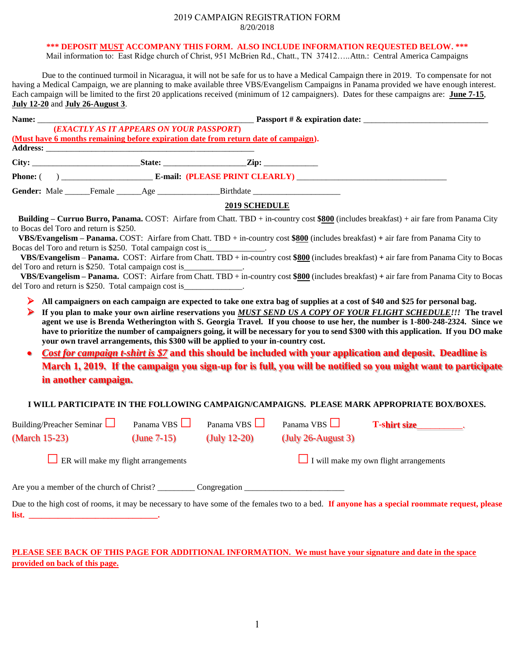#### 2019 CAMPAIGN REGISTRATION FORM 8/20/2018

### **\*\*\* DEPOSIT MUST ACCOMPANY THIS FORM. ALSO INCLUDE INFORMATION REQUESTED BELOW. \*\*\***

Mail information to: East Ridge church of Christ, 951 McBrien Rd., Chatt., TN 37412.....Attn.: Central America Campaigns

Due to the continued turmoil in Nicaragua, it will not be safe for us to have a Medical Campaign there in 2019. To compensate for not having a Medical Campaign, we are planning to make available three VBS/Evangelism Campaigns in Panama provided we have enough interest. Each campaign will be limited to the first 20 applications received (minimum of 12 campaigners). Dates for these campaigns are: **June 7-15**, **July 12-20** and **July 26-August 3**.

| (Must have 6 months remaining before expiration date from return date of campaign).                                                                                                                                                  | (EXACTLY AS IT APPEARS ON YOUR PASSPORT)   |                      |                                               |                                                                                                                                                                                                                                                                                                                                                                                                                                                                                                                                                                                                                         |
|--------------------------------------------------------------------------------------------------------------------------------------------------------------------------------------------------------------------------------------|--------------------------------------------|----------------------|-----------------------------------------------|-------------------------------------------------------------------------------------------------------------------------------------------------------------------------------------------------------------------------------------------------------------------------------------------------------------------------------------------------------------------------------------------------------------------------------------------------------------------------------------------------------------------------------------------------------------------------------------------------------------------------|
|                                                                                                                                                                                                                                      |                                            |                      |                                               |                                                                                                                                                                                                                                                                                                                                                                                                                                                                                                                                                                                                                         |
|                                                                                                                                                                                                                                      |                                            |                      |                                               |                                                                                                                                                                                                                                                                                                                                                                                                                                                                                                                                                                                                                         |
| Gender: Male ______Female ______Age ________________Birthdate ___________________                                                                                                                                                    |                                            |                      |                                               |                                                                                                                                                                                                                                                                                                                                                                                                                                                                                                                                                                                                                         |
|                                                                                                                                                                                                                                      |                                            | <b>2019 SCHEDULE</b> |                                               |                                                                                                                                                                                                                                                                                                                                                                                                                                                                                                                                                                                                                         |
| to Bocas del Toro and return is \$250.<br>Bocas del Toro and return is \$250. Total campaign cost is_<br>del Toro and return is \$250. Total campaign cost is<br>del Toro and return is \$250. Total campaign cost is _____________. |                                            |                      |                                               | Building - Curruo Burro, Panama. COST: Airfare from Chatt. TBD + in-country cost \$800 (includes breakfast) + air fare from Panama City<br>VBS/Evangelism - Panama. COST: Airfare from Chatt. TBD + in-country cost $$800$ (includes breakfast) + air fare from Panama City to<br>VBS/Evangelism - Panama. COST: Airfare from Chatt. TBD + in-country cost \$800 (includes breakfast) + air fare from Panama City to Bocas<br>VBS/Evangelism – Panama. COST: Airfare from Chatt. TBD + in-country cost \$800 (includes breakfast) + air fare from Panama City to Bocas                                                  |
| ➤<br>your own travel arrangements, this \$300 will be applied to your in-country cost.<br>$\bullet$<br>in another campaign.                                                                                                          |                                            |                      |                                               | If you plan to make your own airline reservations you MUST SEND US A COPY OF YOUR FLIGHT SCHEDULE!!! The travel<br>agent we use is Brenda Wetherington with S. Georgia Travel. If you choose to use her, the number is 1-800-248-2324. Since we<br>have to prioritize the number of campaigners going, it will be necessary for you to send \$300 with this application. If you DO make<br>Cost for campaign t-shirt is \$7 and this should be included with your application and deposit. Deadline is<br>March 1, 2019. If the campaign you sign-up for is full, you will be notified so you might want to participate |
|                                                                                                                                                                                                                                      |                                            |                      |                                               | I WILL PARTICIPATE IN THE FOLLOWING CAMPAIGN/CAMPAIGNS. PLEASE MARK APPROPRIATE BOX/BOXES.                                                                                                                                                                                                                                                                                                                                                                                                                                                                                                                              |
| Building/Preacher Seminar                                                                                                                                                                                                            | Panama VBS                                 | Panama VBS $\Box$    |                                               | Panama VBS $\Box$ <b>T-shirt size</b>                                                                                                                                                                                                                                                                                                                                                                                                                                                                                                                                                                                   |
| (March 15-23)                                                                                                                                                                                                                        | (June $7-15$ )                             | $(July 12-20)$       | $(\text{July } 26$ -August 3)                 |                                                                                                                                                                                                                                                                                                                                                                                                                                                                                                                                                                                                                         |
|                                                                                                                                                                                                                                      | $\Box$ ER will make my flight arrangements |                      | $\Box$ I will make my own flight arrangements |                                                                                                                                                                                                                                                                                                                                                                                                                                                                                                                                                                                                                         |
| Are you a member of the church of Christ? Congregation Congregation                                                                                                                                                                  |                                            |                      |                                               |                                                                                                                                                                                                                                                                                                                                                                                                                                                                                                                                                                                                                         |
| <b>list.</b>                                                                                                                                                                                                                         |                                            |                      |                                               | Due to the high cost of rooms, it may be necessary to have some of the females two to a bed. If anyone has a special roommate request, please                                                                                                                                                                                                                                                                                                                                                                                                                                                                           |

## **PLEASE SEE BACK OF THIS PAGE FOR ADDITIONAL INFORMATION. We must have your signature and date in the space provided on back of this page.**